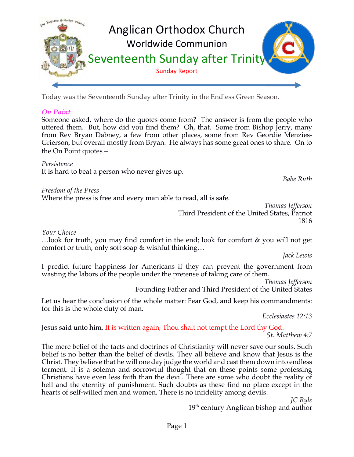

Today was the Seventeenth Sunday after Trinity in the Endless Green Season.

### *On Point*

Someone asked, where do the quotes come from? The answer is from the people who uttered them. But, how did you find them? Oh, that. Some from Bishop Jerry, many from Rev Bryan Dabney, a few from other places, some from Rev Geordie Menzies-Grierson, but overall mostly from Bryan. He always has some great ones to share. On to the On Point quotes –

*Persistence* It is hard to beat a person who never gives up.

*Babe Ruth*

*Freedom of the Press* Where the press is free and every man able to read, all is safe.

*Thomas Jefferson* Third President of the United States, Patriot 1816

*Your Choice*

…look for truth, you may find comfort in the end; look for comfort & you will not get comfort or truth, only soft soap & wishful thinking…

*Jack Lewis*

I predict future happiness for Americans if they can prevent the government from wasting the labors of the people under the pretense of taking care of them.

*Thomas Jefferson*

Founding Father and Third President of the United States

Let us hear the conclusion of the whole matter: Fear God, and keep his commandments: for this is the whole duty of man.

*Ecclesiastes 12:13*

Jesus said unto him, It is written again, Thou shalt not tempt the Lord thy God.

*St. Matthew 4:7*

The mere belief of the facts and doctrines of Christianity will never save our souls. Such belief is no better than the belief of devils. They all believe and know that Jesus is the Christ. They believe that he will one day judge the world and cast them down into endless torment. It is a solemn and sorrowful thought that on these points some professing Christians have even less faith than the devil. There are some who doubt the reality of hell and the eternity of punishment. Such doubts as these find no place except in the hearts of self-willed men and women. There is no infidelity among devils.

*JC Ryle*

 $19<sup>th</sup>$  century Anglican bishop and author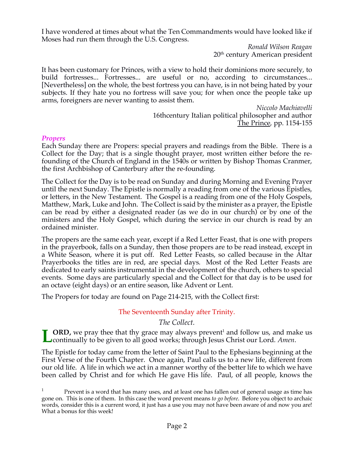I have wondered at times about what the Ten Commandments would have looked like if Moses had run them through the U.S. Congress.

> *Ronald Wilson Reagan* 20<sup>th</sup> century American president

It has been customary for Princes, with a view to hold their dominions more securely, to build fortresses... Fortresses... are useful or no, according to circumstances... [Nevertheless] on the whole, the best fortress you can have, is in not being hated by your subjects. If they hate you no fortress will save you; for when once the people take up arms, foreigners are never wanting to assist them.

> *Niccolo Machiavelli* 16thcentury Italian political philosopher and author The Prince, pp. 1154-155

#### *Propers*

Each Sunday there are Propers: special prayers and readings from the Bible. There is a Collect for the Day; that is a single thought prayer, most written either before the refounding of the Church of England in the 1540s or written by Bishop Thomas Cranmer, the first Archbishop of Canterbury after the re-founding.

The Collect for the Day is to be read on Sunday and during Morning and Evening Prayer until the next Sunday. The Epistle is normally a reading from one of the various Epistles, or letters, in the New Testament. The Gospel is a reading from one of the Holy Gospels, Matthew, Mark, Luke and John. The Collect is said by the minister as a prayer, the Epistle can be read by either a designated reader (as we do in our church) or by one of the ministers and the Holy Gospel, which during the service in our church is read by an ordained minister.

The propers are the same each year, except if a Red Letter Feast, that is one with propers in the prayerbook, falls on a Sunday, then those propers are to be read instead, except in a White Season, where it is put off. Red Letter Feasts, so called because in the Altar Prayerbooks the titles are in red, are special days. Most of the Red Letter Feasts are dedicated to early saints instrumental in the development of the church, others to special events. Some days are particularly special and the Collect for that day is to be used for an octave (eight days) or an entire season, like Advent or Lent.

The Propers for today are found on Page 214-215, with the Collect first:

### The Seventeenth Sunday after Trinity.

*The Collect.*

**ORD,** we pray thee that thy grace may always prevent<sup>1</sup> and follow us, and make us **L** CRD, we pray thee that thy grace may always prevent<sup>1</sup> and follow us, and may continually to be given to all good works; through Jesus Christ our Lord. *Amen*.

The Epistle for today came from the letter of Saint Paul to the Ephesians beginning at the First Verse of the Fourth Chapter. Once again, Paul calls us to a new life, different from our old life. A life in which we act in a manner worthy of the better life to which we have been called by Christ and for which He gave His life. Paul, of all people, knows the

<sup>1</sup> Prevent is a word that has many uses, and at least one has fallen out of general usage as time has gone on. This is one of them. In this case the word prevent means *to go before*. Before you object to archaic words, consider this is a current word, it just has a use you may not have been aware of and now you are! What a bonus for this week!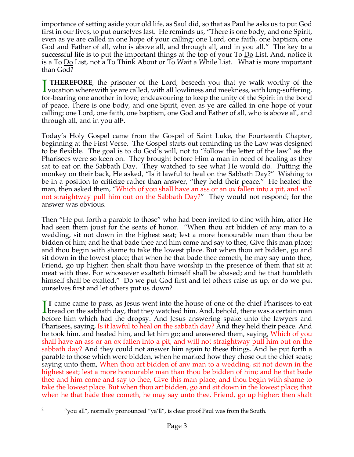importance of setting aside your old life, as Saul did, so that as Paul he asks us to put God first in our lives, to put ourselves last. He reminds us, "There is one body, and one Spirit, even as ye are called in one hope of your calling; one Lord, one faith, one baptism, one God and Father of all, who is above all, and through all, and in you all." The key to a successful life is to put the important things at the top of your To  $\underline{Do}$  List. And, notice it is a To Do List, not a To Think About or To Wait a While List. What is more important than God?

**THEREFORE**, the prisoner of the Lord, beseech you that ye walk worthy of the **THEREFORE**, the prisoner of the Lord, beseech you that ye walk worthy of the vocation wherewith ye are called, with all lowliness and meekness, with long-suffering,  $\epsilon$ for-bearing one another in love; endeavouring to keep the unity of the Spirit in the bond of peace. There is one body, and one Spirit, even as ye are called in one hope of your calling; one Lord, one faith, one baptism, one God and Father of all, who is above all, and through all, and in you all<sup>2</sup>.

Today's Holy Gospel came from the Gospel of Saint Luke, the Fourteenth Chapter, beginning at the First Verse. The Gospel starts out reminding us the Law was designed to be flexible. The goal is to do God's will, not to "follow the letter of the law" as the Pharisees were so keen on. They brought before Him a man in need of healing as they sat to eat on the Sabbath Day. They watched to see what He would do. Putting the monkey on their back, He asked, "Is it lawful to heal on the Sabbath Day?" Wishing to be in a position to criticize rather than answer, "they held their peace." He healed the man, then asked them, "Which of you shall have an ass or an ox fallen into a pit, and will not straightway pull him out on the Sabbath Day?" They would not respond; for the answer was obvious.

Then "He put forth a parable to those" who had been invited to dine with him, after He had seen them joust for the seats of honor. "When thou art bidden of any man to a wedding, sit not down in the highest seat; lest a more honourable man than thou be bidden of him; and he that bade thee and him come and say to thee, Give this man place; and thou begin with shame to take the lowest place. But when thou art bidden, go and sit down in the lowest place; that when he that bade thee cometh, he may say unto thee, Friend, go up higher: then shalt thou have worship in the presence of them that sit at meat with thee. For whosoever exalteth himself shall be abased; and he that humbleth himself shall be exalted." Do we put God first and let others raise us up, or do we put ourselves first and let others put us down?

**T** came came to pass, as Jesus went into the house of one of the chief Pharisees to eat IT came came to pass, as Jesus went into the house of one of the chief Pharisees to eat<br>bread on the sabbath day, that they watched him. And, behold, there was a certain man before him which had the dropsy. And Jesus answering spake unto the lawyers and Pharisees, saying, Is it lawful to heal on the sabbath day? And they held their peace. And he took him, and healed him, and let him go; and answered them, saying, Which of you shall have an ass or an ox fallen into a pit, and will not straightway pull him out on the sabbath day? And they could not answer him again to these things. And he put forth a parable to those which were bidden, when he marked how they chose out the chief seats; saying unto them, When thou art bidden of any man to a wedding, sit not down in the highest seat; lest a more honourable man than thou be bidden of him; and he that bade thee and him come and say to thee, Give this man place; and thou begin with shame to take the lowest place. But when thou art bidden, go and sit down in the lowest place; that when he that bade thee cometh, he may say unto thee, Friend, go up higher: then shalt

- 
- <sup>2</sup> "you all", normally pronounced "ya'll", is clear proof Paul was from the South.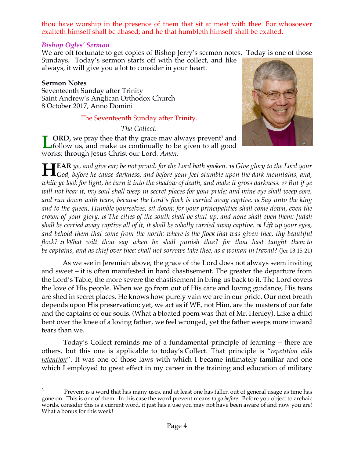thou have worship in the presence of them that sit at meat with thee. For whosoever exalteth himself shall be abased; and he that humbleth himself shall be exalted.

### *Bishop Ogles' Sermon*

We are oft fortunate to get copies of Bishop Jerry's sermon notes. Today is one of those

Sundays. Today's sermon starts off with the collect, and like always, it will give you a lot to consider in your heart.

### **Sermon Notes**

Seventeenth Sunday after Trinity Saint Andrew's Anglican Orthodox Church 8 October 2017, Anno Domini

# The Seventeenth Sunday after Trinity.

*The Collect.*

**ORD**, we pray thee that thy grace may always prevent<sup>3</sup> and follow us, and make us continually to be given to all good works; through Jesus Christ our Lord. *Amen*. **L**



**EAR** *ye, and give ear; be not proud: for the Lord hath spoken. <sup>16</sup> Give glory to the Lord your*  **HEAR** *ye, and give ear; be not proud: for the Lord hath spoken. 16 Give glory to the Lord your God, before he cause darkness, and before your feet stumble upon the dark mountains, and, while ye look for light, he turn it into the shadow of death, and make it gross darkness. <sup>17</sup> But if ye will not hear it, my soul shall weep in secret places for your pride; and mine eye shall weep sore, and run down with tears, because the Lord's flock is carried away captive. <sup>18</sup> Say unto the king and to the queen, Humble yourselves, sit down: for your principalities shall come down, even the crown of your glory. <sup>19</sup> The cities of the south shall be shut up, and none shall open them: Judah shall be carried away captive all of it, it shall be wholly carried away captive. <sup>20</sup> Lift up your eyes, and behold them that come from the north: where is the flock that was given thee, thy beautiful flock? <sup>21</sup> What wilt thou say when he shall punish thee? for thou hast taught them to be captains, and as chief over thee: shall not sorrows take thee, as a woman in travail*? (Jer 13:15-21)

As we see in Jeremiah above, the grace of the Lord does not always seem inviting and sweet – it is often manifested in hard chastisement. The greater the departure from the Lord's Table, the more severe the chastisement in bring us back to it. The Lord covets the love of His people. When we go from out of His care and loving guidance, His tears are shed in secret places. He knows how purely vain we are in our pride. Our next breath depends upon His preservation; yet, we act as if WE, not Him, are the masters of our fate and the captains of our souls. (What a bloated poem was that of Mr. Henley). Like a child bent over the knee of a loving father, we feel wronged, yet the father weeps more inward tears than we.

Today's Collect reminds me of a fundamental principle of learning – there are others, but this one is applicable to today's Collect. That principle is "*repetition aids retention*". It was one of those laws with which I became intimately familiar and one which I employed to great effect in my career in the training and education of military

<sup>&</sup>lt;sup>3</sup> Prevent is a word that has many uses, and at least one has fallen out of general usage as time has gone on. This is one of them. In this case the word prevent means *to go before*. Before you object to archaic words, consider this is a current word, it just has a use you may not have been aware of and now you are! What a bonus for this week!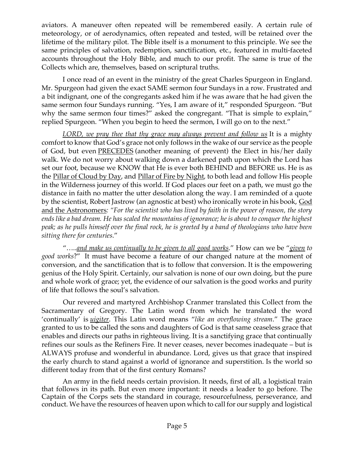aviators. A maneuver often repeated will be remembered easily. A certain rule of meteorology, or of aerodynamics, often repeated and tested, will be retained over the lifetime of the military pilot. The Bible itself is a monument to this principle. We see the same principles of salvation, redemption, sanctification, etc., featured in multi-faceted accounts throughout the Holy Bible, and much to our profit. The same is true of the Collects which are, themselves, based on scriptural truths.

I once read of an event in the ministry of the great Charles Spurgeon in England. Mr. Spurgeon had given the exact SAME sermon four Sundays in a row. Frustrated and a bit indignant, one of the congregants asked him if he was aware that he had given the same sermon four Sundays running. "Yes, I am aware of it," responded Spurgeon. "But why the same sermon four times?" asked the congregant. "That is simple to explain," replied Spurgeon. "When you begin to heed the sermon, I will go on to the next."

*LORD, we pray thee that thy grace may always prevent and follow us* It is a mighty comfort to know that God's grace not only follows in the wake of our service as the people of God, but even PRECEDES (another meaning of prevent) the Elect in his/her daily walk. We do not worry about walking down a darkened path upon which the Lord has set our foot, because we KNOW that He is ever both BEHIND and BEFORE us. He is as the Pillar of Cloud by Day, and Pillar of Fire by Night, to both lead and follow His people in the Wilderness journey of this world. If God places our feet on a path, we must go the distance in faith no matter the utter desolation along the way. I am reminded of a quote by the scientist, Robert Jastrow (an agnostic at best) who ironically wrote in his book, God and the Astronomers*: "For the scientist who has lived by faith in the power of reason, the story ends like a bad dream. He has scaled the mountains of ignorance; he is about to conquer the highest peak; as he pulls himself over the final rock, he is greeted by a band of theologians who have been sitting there for centuries*."

"…..*and make us continually to be given to all good works*." How can we be "*given to good works*?" It must have become a feature of our changed nature at the moment of conversion, and the sanctification that is to follow that conversion. It is the empowering genius of the Holy Spirit. Certainly, our salvation is none of our own doing, but the pure and whole work of grace; yet, the evidence of our salvation is the good works and purity of life that follows the soul's salvation.

Our revered and martyred Archbishop Cranmer translated this Collect from the Sacramentary of Gregory. The Latin word from which he translated the word 'continually' is *uigiter*. This Latin word means "*like an overflowing stream*." The grace granted to us to be called the sons and daughters of God is that same ceaseless grace that enables and directs our paths in righteous living. It is a sanctifying grace that continually refines our souls as the Refiners Fire. It never ceases, never becomes inadequate – but is ALWAYS profuse and wonderful in abundance. Lord, gives us that grace that inspired the early church to stand against a world of ignorance and superstition. Is the world so different today from that of the first century Romans?

An army in the field needs certain provision. It needs, first of all, a logistical train that follows in its path. But even more important: it needs a leader to go before. The Captain of the Corps sets the standard in courage, resourcefulness, perseverance, and conduct. We have the resources of heaven upon which to call for our supply and logistical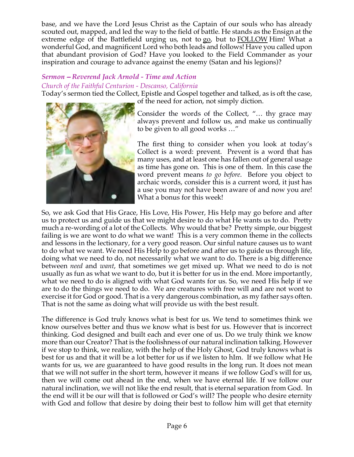base, and we have the Lord Jesus Christ as the Captain of our souls who has already scouted out, mapped, and led the way to the field of battle. He stands as the Ensign at the extreme edge of the Battlefield urging us, not to go, but to **FOLLOW** Him! What a wonderful God, and magnificent Lord who both leads and follows! Have you called upon that abundant provision of God? Have you looked to the Field Commander as your inspiration and courage to advance against the enemy (Satan and his legions)?

# *Sermon* – *Reverend Jack Arnold - Time and Action Church of the Faithful Centurion - Descanso, California*

Today's sermon tied the Collect, Epistle and Gospel together and talked, as is oft the case, of the need for action, not simply diction.



Consider the words of the Collect, "… thy grace may always prevent and follow us, and make us continually to be given to all good works …"

The first thing to consider when you look at today's Collect is a word: prevent. Prevent is a word that has many uses, and at least one has fallen out of general usage as time has gone on. This is one of them. In this case the word prevent means *to go before*. Before you object to archaic words, consider this is a current word, it just has a use you may not have been aware of and now you are! What a bonus for this week!

So, we ask God that His Grace, His Love, His Power, His Help may go before and after us to protect us and guide us that we might desire to do what He wants us to do. Pretty much a re-wording of a lot of the Collects. Why would that be? Pretty simple, our biggest failing is we are wont to do what we want! This is a very common theme in the collects and lessons in the lectionary, for a very good reason. Our sinful nature causes us to want to do what we want. We need His Help to go before and after us to guide us through life, doing what we need to do, not necessarily what we want to do. There is a big difference between *need* and *want*, that sometimes we get mixed up. What we need to do is not usually as fun as what we want to do, but it is better for us in the end. More importantly, what we need to do is aligned with what God wants for us. So, we need His help if we are to do the things we need to do. We are creatures with free will and are not wont to exercise it for God or good. That is a very dangerous combination, as my father says often. That is not the same as doing what will provide us with the best result.

The difference is God truly knows what is best for us. We tend to sometimes think we know ourselves better and thus we know what is best for us. However that is incorrect thinking. God designed and built each and ever one of us. Do we truly think we know more than our Creator? That is the foolishness of our natural inclination talking. However if we stop to think, we realize, with the help of the Holy Ghost, God truly knows what is best for us and that it will be a lot better for us if we listen to hIm. If we follow what He wants for us, we are guaranteed to have good results in the long run. It does not mean that we will not suffer in the short term, however it means if we follow God's will for us, then we will come out ahead in the end, when we have eternal life. If we follow our natural inclination, we will not like the end result, that is eternal separation from God. In the end will it be our will that is followed or God's will? The people who desire eternity with God and follow that desire by doing their best to follow him will get that eternity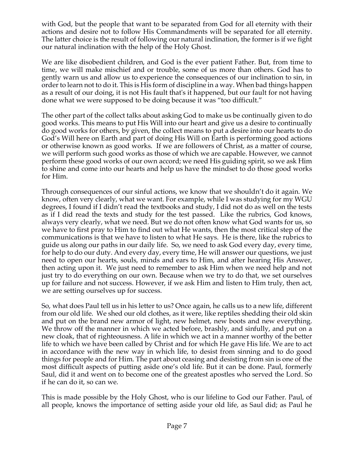with God, but the people that want to be separated from God for all eternity with their actions and desire not to follow His Commandments will be separated for all eternity. The latter choice is the result of following our natural inclination, the former is if we fight our natural inclination with the help of the Holy Ghost.

We are like disobedient children, and God is the ever patient Father. But, from time to time, we will make mischief and or trouble, some of us more than others. God has to gently warn us and allow us to experience the consequences of our inclination to sin, in order to learn not to do it. This is His form of discipline in a way. When bad things happen as a result of our doing, it is not His fault that's it happened, but our fault for not having done what we were supposed to be doing because it was "too difficult."

The other part of the collect talks about asking God to make us be continually given to do good works. This means to put His Will into our heart and give us a desire to continually do good works for others, by given, the collect means to put a desire into our hearts to do God's Will here on Earth and part of doing His Will on Earth is performing good actions or otherwise known as good works. If we are followers of Christ, as a matter of course, we will perform such good works as those of which we are capable. However, we cannot perform these good works of our own accord; we need His guiding spirit, so we ask Him to shine and come into our hearts and help us have the mindset to do those good works for Him.

Through consequences of our sinful actions, we know that we shouldn't do it again. We know, often very clearly, what we want. For example, while I was studying for my WGU degrees, I found if I didn't read the textbooks and study, I did not do as well on the tests as if I did read the texts and study for the test passed. Like the rubrics, God knows, always very clearly, what we need. But we do not often know what God wants for us, so we have to first pray to Him to find out what He wants, then the most critical step of the communications is that we have to listen to what He says. He is there, like the rubrics to guide us along our paths in our daily life. So, we need to ask God every day, every time, for help to do our duty. And every day, every time, He will answer our questions, we just need to open our hearts, souls, minds and ears to Him, and after hearing His Answer, then acting upon it. We just need to remember to ask Him when we need help and not just try to do everything on our own. Because when we try to do that, we set ourselves up for failure and not success. However, if we ask Him and listen to Him truly, then act, we are setting ourselves up for success.

So, what does Paul tell us in his letter to us? Once again, he calls us to a new life, different from our old life. We shed our old clothes, as it were, like reptiles shedding their old skin and put on the brand new armor of light, new helmet, new boots and new everything. We throw off the manner in which we acted before, brashly, and sinfully, and put on a new cloak, that of righteousness. A life in which we act in a manner worthy of the better life to which we have been called by Christ and for which He gave His life. We are to act in accordance with the new way in which life, to desist from sinning and to do good things for people and for Him. The part about ceasing and desisting from sin is one of the most difficult aspects of putting aside one's old life. But it can be done. Paul, formerly Saul, did it and went on to become one of the greatest apostles who served the Lord. So if he can do it, so can we.

This is made possible by the Holy Ghost, who is our lifeline to God our Father. Paul, of all people, knows the importance of setting aside your old life, as Saul did; as Paul he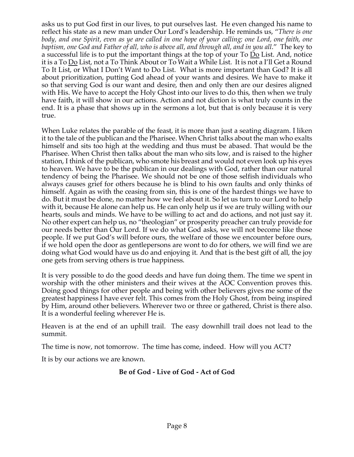asks us to put God first in our lives, to put ourselves last. He even changed his name to reflect his state as a new man under Our Lord's leadership. He reminds us, "*There is one body, and one Spirit, even as ye are called in one hope of your calling; one Lord, one faith, one baptism, one God and Father of all, who is above all, and through all, and in you all*." The key to a successful life is to put the important things at the top of your To Do List. And, notice it is a To Do List, not a To Think About or To Wait a While List. It is not a I'll Get a Round To It List, or What I Don't Want to Do List. What is more important than God? It is all about prioritization, putting God ahead of your wants and desires. We have to make it so that serving God is our want and desire, then and only then are our desires aligned with His. We have to accept the Holy Ghost into our lives to do this, then when we truly have faith, it will show in our actions. Action and not diction is what truly counts in the end. It is a phase that shows up in the sermons a lot, but that is only because it is very true.

When Luke relates the parable of the feast, it is more than just a seating diagram. I liken it to the tale of the publican and the Pharisee. When Christ talks about the man who exalts himself and sits too high at the wedding and thus must be abased. That would be the Pharisee. When Christ then talks about the man who sits low, and is raised to the higher station, I think of the publican, who smote his breast and would not even look up his eyes to heaven. We have to be the publican in our dealings with God, rather than our natural tendency of being the Pharisee. We should not be one of those selfish individuals who always causes grief for others because he is blind to his own faults and only thinks of himself. Again as with the ceasing from sin, this is one of the hardest things we have to do. But it must be done, no matter how we feel about it. So let us turn to our Lord to help with it, because He alone can help us. He can only help us if we are truly willing with our hearts, souls and minds. We have to be willing to act and do actions, and not just say it. No other expert can help us, no "theologian" or prosperity preacher can truly provide for our needs better than Our Lord. If we do what God asks, we will not become like those people. If we put God's will before ours, the welfare of those we encounter before ours, if we hold open the door as gentlepersons are wont to do for others, we will find we are doing what God would have us do and enjoying it. And that is the best gift of all, the joy one gets from serving others is true happiness.

It is very possible to do the good deeds and have fun doing them. The time we spent in worship with the other ministers and their wives at the AOC Convention proves this. Doing good things for other people and being with other believers gives me some of the greatest happiness I have ever felt. This comes from the Holy Ghost, from being inspired by Him, around other believers. Wherever two or three or gathered, Christ is there also. It is a wonderful feeling wherever He is.

Heaven is at the end of an uphill trail. The easy downhill trail does not lead to the summit.

The time is now, not tomorrow. The time has come, indeed. How will you ACT?

It is by our actions we are known.

### **Be of God - Live of God - Act of God**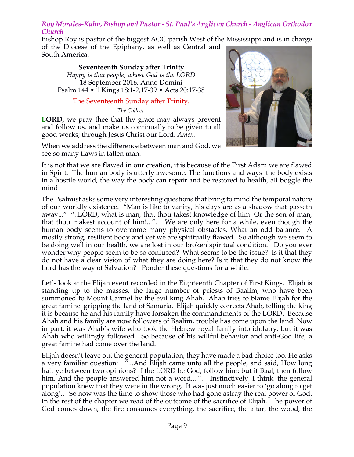### *Roy Morales-Kuhn, Bishop and Pastor - St. Paul's Anglican Church - Anglican Orthodox Church*

Bishop Roy is pastor of the biggest AOC parish West of the Mississippi and is in charge of the Diocese of the Epiphany, as well as Central and South America.

**Seventeenth Sunday after Trinity** *Happy is that people, whose God is the LORD*  18 September 2016, Anno Domini Psalm 144 • 1 Kings 18:1-2,17-39 • Acts 20:17-38

### The Seventeenth Sunday after Trinity.

*The Collect.*

**LORD,** we pray thee that thy grace may always prevent and follow us, and make us continually to be given to all good works; through Jesus Christ our Lord. *Amen*.

When we address the difference between man and God, we see so many flaws in fallen man.



It is not that we are flawed in our creation, it is because of the First Adam we are flawed in Spirit. The human body is utterly awesome. The functions and ways the body exists in a hostile world, the way the body can repair and be restored to health, all boggle the mind.

The Psalmist asks some very interesting questions that bring to mind the temporal nature of our worldly existence. "Man is like to vanity, his days are as a shadow that passeth away..." "..LORD, what is man, that thou takest knowledge of him! Or the son of man, that thou makest account of him!...". We are only here for a while, even though the human body seems to overcome many physical obstacles. What an odd balance. A mostly strong, resilient body and yet we are spiritually flawed. So although we seem to be doing well in our health, we are lost in our broken spiritual condition. Do you ever wonder why people seem to be so confused? What seems to be the issue? Is it that they do not have a clear vision of what they are doing here? Is it that they do not know the Lord has the way of Salvation? Ponder these questions for a while.

Let's look at the Elijah event recorded in the Eighteenth Chapter of First Kings. Elijah is standing up to the masses, the large number of priests of Baalim, who have been summoned to Mount Carmel by the evil king Ahab. Ahab tries to blame Elijah for the great famine gripping the land of Samaria. Elijah quickly corrects Ahab, telling the king it is because he and his family have forsaken the commandments of the LORD. Because Ahab and his family are now followers of Baalim, trouble has come upon the land. Now in part, it was Ahab's wife who took the Hebrew royal family into idolatry, but it was Ahab who willingly followed. So because of his willful behavior and anti-God life, a great famine had come over the land.

Elijah doesn't leave out the general population, they have made a bad choice too. He asks a very familiar question: "...And Elijah came unto all the people, and said, How long halt ye between two opinions? if the LORD be God, follow him: but if Baal, then follow him. And the people answered him not a word....". Instinctively, I think, the general population knew that they were in the wrong. It was just much easier to 'go along to get along'.. So now was the time to show those who had gone astray the real power of God. In the rest of the chapter we read of the outcome of the sacrifice of Elijah. The power of God comes down, the fire consumes everything, the sacrifice, the altar, the wood, the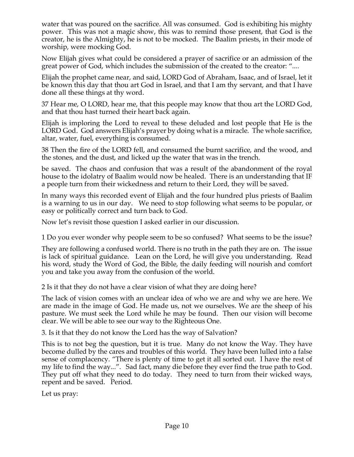water that was poured on the sacrifice. All was consumed. God is exhibiting his mighty power. This was not a magic show, this was to remind those present, that God is the creator, he is the Almighty, he is not to be mocked. The Baalim priests, in their mode of worship, were mocking God.

Now Elijah gives what could be considered a prayer of sacrifice or an admission of the great power of God, which includes the submission of the created to the creator: "....

Elijah the prophet came near, and said, LORD God of Abraham, Isaac, and of Israel, let it be known this day that thou art God in Israel, and that I am thy servant, and that I have done all these things at thy word.

37 Hear me, O LORD, hear me, that this people may know that thou art the LORD God, and that thou hast turned their heart back again.

Elijah is imploring the Lord to reveal to these deluded and lost people that He is the LORD God. God answers Elijah's prayer by doing what is a miracle. The whole sacrifice, altar, water, fuel, everything is consumed.

38 Then the fire of the LORD fell, and consumed the burnt sacrifice, and the wood, and the stones, and the dust, and licked up the water that was in the trench.

be saved. The chaos and confusion that was a result of the abandonment of the royal house to the idolatry of Baalim would now be healed. There is an understanding that IF a people turn from their wickedness and return to their Lord, they will be saved.

In many ways this recorded event of Elijah and the four hundred plus priests of Baalim is a warning to us in our day. We need to stop following what seems to be popular, or easy or politically correct and turn back to God.

Now let's revisit those question I asked earlier in our discussion.

1 Do you ever wonder why people seem to be so confused? What seems to be the issue?

They are following a confused world. There is no truth in the path they are on. The issue is lack of spiritual guidance. Lean on the Lord, he will give you understanding. Read his word, study the Word of God, the Bible, the daily feeding will nourish and comfort you and take you away from the confusion of the world.

2 Is it that they do not have a clear vision of what they are doing here?

The lack of vision comes with an unclear idea of who we are and why we are here. We are made in the image of God. He made us, not we ourselves. We are the sheep of his pasture. We must seek the Lord while he may be found. Then our vision will become clear. We will be able to see our way to the Righteous One.

3. Is it that they do not know the Lord has the way of Salvation?

This is to not beg the question, but it is true. Many do not know the Way. They have become dulled by the cares and troubles of this world. They have been lulled into a false sense of complacency. "There is plenty of time to get it all sorted out. I have the rest of my life to find the way...". Sad fact, many die before they ever find the true path to God. They put off what they need to do today. They need to turn from their wicked ways, repent and be saved. Period.

Let us pray: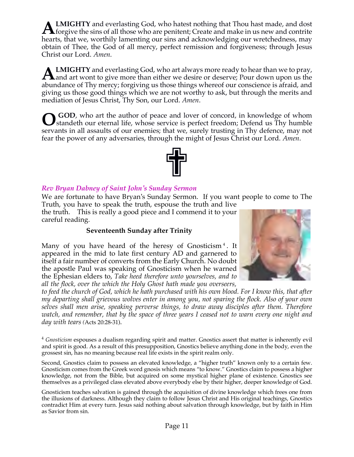**LMIGHTY** and everlasting God, who hatest nothing that Thou hast made, and dost **ALMIGHTY** and everlasting God, who hatest nothing that Thou hast made, and dost forgive the sins of all those who are penitent; Create and make in us new and contrite that the sins of all those who are penitent; Create an hearts, that we, worthily lamenting our sins and acknowledging our wretchedness, may obtain of Thee, the God of all mercy, perfect remission and forgiveness; through Jesus Christ our Lord. *Amen*.

**LMIGHTY** and everlasting God, who art always more ready to hear than we to pray, **ALMIGHTY** and everlasting God, who art always more ready to hear than we to pray, and art wont to give more than either we desire or deserve; Pour down upon us the shortly and the set of Theorem is the set of the set of t abundance of Thy mercy; forgiving us those things whereof our conscience is afraid, and giving us those good things which we are not worthy to ask, but through the merits and mediation of Jesus Christ, Thy Son, our Lord. *Amen*.

GOD, who art the author of peace and lover of concord, in knowledge of whom standeth our eternal life, whose service is perfect freedom; Defend us Thy humble servants in all assaults of our enemies; that we, surely trusting in Thy defence, may not fear the power of any adversaries, through the might of Jesus Christ our Lord. *Amen*. **O**



# *Rev Bryan Dabney of Saint John's Sunday Sermon*

We are fortunate to have Bryan's Sunday Sermon. If you want people to come to The Truth, you have to speak the truth, espouse the truth and live

the truth. This is really a good piece and I commend it to your careful reading.

### **Seventeenth Sunday after Trinity**

Many of you have heard of the heresy of Gnosticism<sup>4</sup>. It appeared in the mid to late first century AD and garnered to itself a fair number of converts from the Early Church. No doubt the apostle Paul was speaking of Gnosticism when he warned the Ephesian elders to, *Take heed therefore unto yourselves, and to all the flock, over the which the Holy Ghost hath made you overseers,* 



*to feed the church of God, which he hath purchased with his own blood. For I know this, that after my departing shall grievous wolves enter in among you, not sparing the flock. Also of your own selves shall men arise, speaking perverse things, to draw away disciples after them. Therefore watch, and remember, that by the space of three years I ceased not to warn every one night and day with tears (*Acts 20:28-31).

<sup>4</sup> *Gnosticism* espouses a dualism regarding spirit and matter. Gnostics assert that matter is inherently evil and spirit is good. As a result of this presupposition, Gnostics believe anything done in the body, even the grossest sin, has no meaning because real life exists in the spirit realm only.

Second, Gnostics claim to possess an elevated knowledge, a "higher truth" known only to a certain few. Gnosticism comes from the Greek word gnosis which means "to know." Gnostics claim to possess a higher knowledge, not from the Bible, but acquired on some mystical higher plane of existence. Gnostics see themselves as a privileged class elevated above everybody else by their higher, deeper knowledge of God.

Gnosticism teaches salvation is gained through the acquisition of divine knowledge which frees one from the illusions of darkness. Although they claim to follow Jesus Christ and His original teachings, Gnostics contradict Him at every turn. Jesus said nothing about salvation through knowledge, but by faith in Him as Savior from sin.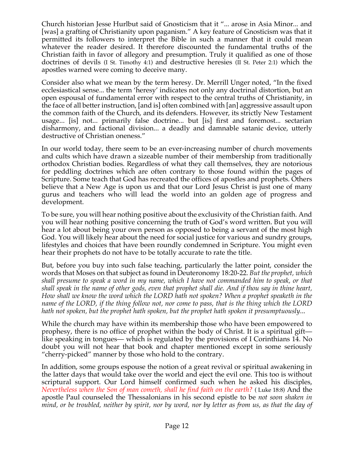Church historian Jesse Hurlbut said of Gnosticism that it "... arose in Asia Minor... and [was] a grafting of Christianity upon paganism." A key feature of Gnosticism was that it permitted its followers to interpret the Bible in such a manner that it could mean whatever the reader desired. It therefore discounted the fundamental truths of the Christian faith in favor of allegory and presumption. Truly it qualified as one of those doctrines of devils (I St. Timothy 4:1) and destructive heresies (II St. Peter 2:1) which the apostles warned were coming to deceive many.

Consider also what we mean by the term heresy. Dr. Merrill Unger noted, "In the fixed ecclesiastical sense... the term 'heresy' indicates not only any doctrinal distortion, but an open espousal of fundamental error with respect to the central truths of Christianity, in the face of all better instruction, [and is] often combined with [an] aggressive assault upon the common faith of the Church, and its defenders. However, its strictly New Testament usage... [is] not... primarily false doctrine... but [is] first and foremost... sectarian disharmony, and factional division... a deadly and damnable satanic device, utterly destructive of Christian oneness."

In our world today, there seem to be an ever-increasing number of church movements and cults which have drawn a sizeable number of their membership from traditionally orthodox Christian bodies. Regardless of what they call themselves, they are notorious for peddling doctrines which are often contrary to those found within the pages of Scripture. Some teach that God has recreated the offices of apostles and prophets. Others believe that a New Age is upon us and that our Lord Jesus Christ is just one of many gurus and teachers who will lead the world into an golden age of progress and development.

To be sure, you will hear nothing positive about the exclusivity of the Christian faith. And you will hear nothing positive concerning the truth of God's word written. But you will hear a lot about being your own person as opposed to being a servant of the most high God. You will likely hear about the need for social justice for various and sundry groups, lifestyles and choices that have been roundly condemned in Scripture. You might even hear their prophets do not have to be totally accurate to rate the title.

But, before you buy into such false teaching, particularly the latter point, consider the words that Moses on that subject as found in Deuteronomy 18:20-22. *But the prophet, which shall presume to speak a word in my name, which I have not commanded him to speak, or that shall speak in the name of other gods, even that prophet shall die. And if thou say in thine heart, How shall we know the word which the LORD hath not spoken? When a prophet speaketh in the name of the LORD, if the thing follow not, nor come to pass, that is the thing which the LORD hath not spoken, but the prophet hath spoken, but the prophet hath spoken it presumptuously*...

While the church may have within its membership those who have been empowered to prophesy, there is no office of prophet within the body of Christ. It is a spiritual gift like speaking in tongues— which is regulated by the provisions of I Corinthians 14. No doubt you will not hear that book and chapter mentioned except in some seriously "cherry-picked" manner by those who hold to the contrary.

In addition, some groups espouse the notion of a great revival or spiritual awakening in the latter days that would take over the world and eject the evil one. This too is without scriptural support. Our Lord himself confirmed such when he asked his disciples, *Nevertheless when the Son of man cometh, shall he find faith on the earth?* ( Luke 18:8) And the apostle Paul counseled the Thessalonians in his second epistle to be *not soon shaken in mind, or be troubled, neither by spirit, nor by word, nor by letter as from us, as that the day of*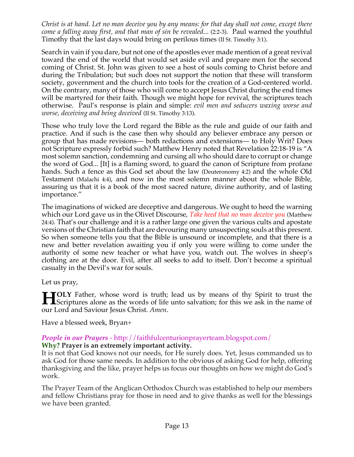*Christ is at hand. Let no man deceive you by any means: for that day shall not come, except there come a falling away first, and that man of sin be revealed*... (2:2-3). Paul warned the youthful Timothy that the last days would bring on perilous times (II St. Timothy 3:1).

Search in vain if you dare, but not one of the apostles ever made mention of a great revival toward the end of the world that would set aside evil and prepare men for the second coming of Christ. St. John was given to see a host of souls coming to Christ before and during the Tribulation; but such does not support the notion that these will transform society, government and the church into tools for the creation of a God-centered world. On the contrary, many of those who will come to accept Jesus Christ during the end times will be martyred for their faith. Though we might hope for revival, the scriptures teach otherwise. Paul's response is plain and simple: *evil men and seducers waxing worse and worse, deceiving and being deceived* (II St. Timothy 3:13).

Those who truly love the Lord regard the Bible as the rule and guide of our faith and practice. And if such is the case then why should any believer embrace any person or group that has made revisions— both redactions and extensions— to Holy Writ? Does not Scripture expressly forbid such? Matthew Henry noted that Revelation 22:18-19 is "A most solemn sanction, condemning and cursing all who should dare to corrupt or change the word of God... [It] is a flaming sword, to guard the canon of Scripture from profane hands. Such a fence as this God set about the law (Deuteronomy 4:2) and the whole Old Testament (Malachi 4:4), and now in the most solemn manner about the whole Bible, assuring us that it is a book of the most sacred nature, divine authority, and of lasting importance."

The imaginations of wicked are deceptive and dangerous. We ought to heed the warning which our Lord gave us in the Olivet Discourse, *Take heed that no man deceive you* (Matthew 24:4). That's our challenge and it is a rather large one given the various cults and apostate versions of the Christian faith that are devouring many unsuspecting souls at this present. So when someone tells you that the Bible is unsound or incomplete, and that there is a new and better revelation awaiting you if only you were willing to come under the authority of some new teacher or what have you, watch out. The wolves in sheep's clothing are at the door. Evil, after all seeks to add to itself. Don't become a spiritual casualty in the Devil's war for souls.

Let us pray,

**TOLY** Father, whose word is truth; lead us by means of thy Spirit to trust the **HOLY** Father, whose word is truth; lead us by means of thy Spirit to trust the Scriptures alone as the words of life unto salvation; for this we ask in the name of our Lord and Saviour Jesus Christ. *Amen*.

Have a blessed week, Bryan+

# *People in our Prayers* - http://faithfulcenturionprayerteam.blogspot.com/

**Why? Prayer is an extremely important activity.**

It is not that God knows not our needs, for He surely does. Yet, Jesus commanded us to ask God for those same needs. In addition to the obvious of asking God for help, offering thanksgiving and the like, prayer helps us focus our thoughts on how we might do God's work.

The Prayer Team of the Anglican Orthodox Church was established to help our members and fellow Christians pray for those in need and to give thanks as well for the blessings we have been granted.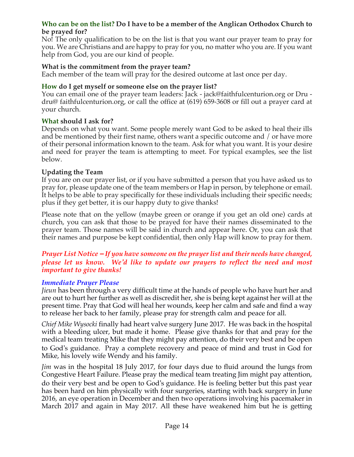### **Who can be on the list? Do I have to be a member of the Anglican Orthodox Church to be prayed for?**

No! The only qualification to be on the list is that you want our prayer team to pray for you. We are Christians and are happy to pray for you, no matter who you are. If you want help from God, you are our kind of people.

### **What is the commitment from the prayer team?**

Each member of the team will pray for the desired outcome at last once per day.

### **How do I get myself or someone else on the prayer list?**

You can email one of the prayer team leaders: Jack - jack@faithfulcenturion.org or Dru dru@ faithfulcenturion.org, or call the office at (619) 659-3608 or fill out a prayer card at your church.

### **What should I ask for?**

Depends on what you want. Some people merely want God to be asked to heal their ills and be mentioned by their first name, others want a specific outcome and / or have more of their personal information known to the team. Ask for what you want. It is your desire and need for prayer the team is attempting to meet. For typical examples, see the list below.

### **Updating the Team**

If you are on our prayer list, or if you have submitted a person that you have asked us to pray for, please update one of the team members or Hap in person, by telephone or email. It helps to be able to pray specifically for these individuals including their specific needs; plus if they get better, it is our happy duty to give thanks!

Please note that on the yellow (maybe green or orange if you get an old one) cards at church, you can ask that those to be prayed for have their names disseminated to the prayer team. Those names will be said in church and appear here. Or, you can ask that their names and purpose be kept confidential, then only Hap will know to pray for them.

### *Prayer List Notice – If you have someone on the prayer list and their needs have changed, please let us know. We'd like to update our prayers to reflect the need and most important to give thanks!*

#### *Immediate Prayer Please*

*Jieun* has been through a very difficult time at the hands of people who have hurt her and are out to hurt her further as well as discredit her, she is being kept against her will at the present time. Pray that God will heal her wounds, keep her calm and safe and find a way to release her back to her family, please pray for strength calm and peace for all.

*Chief Mike Wysocki* finally had heart valve surgery June 2017. He was back in the hospital with a bleeding ulcer, but made it home. Please give thanks for that and pray for the medical team treating Mike that they might pay attention, do their very best and be open to God's guidance. Pray a complete recovery and peace of mind and trust in God for Mike, his lovely wife Wendy and his family.

*Jim* was in the hospital 18 July 2017, for four days due to fluid around the lungs from Congestive Heart Failure. Please pray the medical team treating Jim might pay attention, do their very best and be open to God's guidance. He is feeling better but this past year has been hard on him physically with four surgeries, starting with back surgery in June 2016, an eye operation in December and then two operations involving his pacemaker in March 2017 and again in May 2017. All these have weakened him but he is getting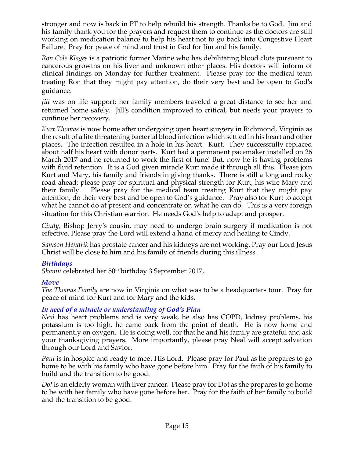stronger and now is back in PT to help rebuild his strength. Thanks be to God. Jim and his family thank you for the prayers and request them to continue as the doctors are still working on medication balance to help his heart not to go back into Congestive Heart Failure. Pray for peace of mind and trust in God for Jim and his family.

*Ron Cole Klages* is a patriotic former Marine who has debilitating blood clots pursuant to cancerous growths on his liver and unknown other places. His doctors will inform of clinical findings on Monday for further treatment. Please pray for the medical team treating Ron that they might pay attention, do their very best and be open to God's guidance.

*Jill* was on life support; her family members traveled a great distance to see her and returned home safely. Jill's condition improved to critical, but needs your prayers to continue her recovery.

*Kurt Thomas* is now home after undergoing open heart surgery in Richmond, Virginia as the result of a life threatening bacterial blood infection which settled in his heart and other places. The infection resulted in a hole in his heart. Kurt. They successfully replaced about half his heart with donor parts. Kurt had a permanent pacemaker installed on 26 March 2017 and he returned to work the first of June! But, now he is having problems with fluid retention. It is a God given miracle Kurt made it through all this. Please join Kurt and Mary, his family and friends in giving thanks. There is still a long and rocky road ahead; please pray for spiritual and physical strength for Kurt, his wife Mary and their family. Please pray for the medical team treating Kurt that they might pay attention, do their very best and be open to God's guidance. Pray also for Kurt to accept what he cannot do at present and concentrate on what he can do. This is a very foreign situation for this Christian warrior. He needs God's help to adapt and prosper.

*Cindy,* Bishop Jerry's cousin, may need to undergo brain surgery if medication is not effective. Please pray the Lord will extend a hand of mercy and healing to Cindy.

*Samson Hendrik* has prostate cancer and his kidneys are not working. Pray our Lord Jesus Christ will be close to him and his family of friends during this illness.

# *Birthdays*

Shamu celebrated her 50<sup>th</sup> birthday 3 September 2017,

### *Move*

*The Thomas Family* are now in Virginia on what was to be a headquarters tour. Pray for peace of mind for Kurt and for Mary and the kids.

# *In need of a miracle or understanding of God's Plan*

*Neal* has heart problems and is very weak, he also has COPD, kidney problems, his potassium is too high, he came back from the point of death. He is now home and permanently on oxygen. He is doing well, for that he and his family are grateful and ask your thanksgiving prayers. More importantly, please pray Neal will accept salvation through our Lord and Savior.

*Paul* is in hospice and ready to meet His Lord. Please pray for Paul as he prepares to go home to be with his family who have gone before him. Pray for the faith of his family to build and the transition to be good.

*Dot* is an elderly woman with liver cancer. Please pray for Dot as she prepares to go home to be with her family who have gone before her. Pray for the faith of her family to build and the transition to be good.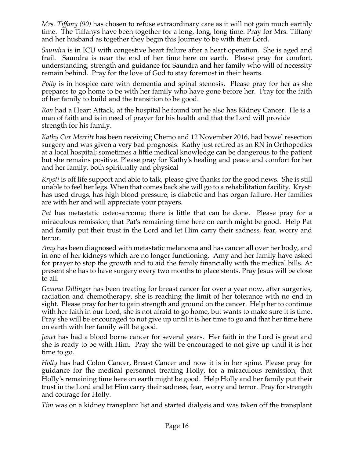*Mrs. Tiffany (90)* has chosen to refuse extraordinary care as it will not gain much earthly time. The Tiffanys have been together for a long, long, long time. Pray for Mrs. Tiffany and her husband as together they begin this Journey to be with their Lord.

*Saundra* is in ICU with congestive heart failure after a heart operation. She is aged and frail. Saundra is near the end of her time here on earth. Please pray for comfort, understanding, strength and guidance for Saundra and her family who will of necessity remain behind. Pray for the love of God to stay foremost in their hearts.

*Polly* is in hospice care with dementia and spinal stenosis. Please pray for her as she prepares to go home to be with her family who have gone before her. Pray for the faith of her family to build and the transition to be good.

*Ron* had a Heart Attack, at the hospital he found out he also has Kidney Cancer. He is a man of faith and is in need of prayer for his health and that the Lord will provide strength for his family.

*Kathy Cox Merritt* has been receiving Chemo and 12 November 2016, had bowel resection surgery and was given a very bad prognosis. Kathy just retired as an RN in Orthopedics at a local hospital; sometimes a little medical knowledge can be dangerous to the patient but she remains positive. Please pray for Kathy's healing and peace and comfort for her and her family, both spiritually and physical

*Krysti* is off life support and able to talk, please give thanks for the good news. She is still unable to feel her legs. When that comes back she will go to a rehabilitation facility. Krysti has used drugs, has high blood pressure, is diabetic and has organ failure. Her families are with her and will appreciate your prayers.

*Pat* has metastatic osteosarcoma; there is little that can be done. Please pray for a miraculous remission; that Pat's remaining time here on earth might be good. Help Pat and family put their trust in the Lord and let Him carry their sadness, fear, worry and terror.

*Amy* has been diagnosed with metastatic melanoma and has cancer all over her body, and in one of her kidneys which are no longer functioning. Amy and her family have asked for prayer to stop the growth and to aid the family financially with the medical bills. At present she has to have surgery every two months to place stents. Pray Jesus will be close to all.

*Gemma Dillinger* has been treating for breast cancer for over a year now, after surgeries, radiation and chemotherapy, she is reaching the limit of her tolerance with no end in sight. Please pray for her to gain strength and ground on the cancer. Help her to continue with her faith in our Lord, she is not afraid to go home, but wants to make sure it is time. Pray she will be encouraged to not give up until it is her time to go and that her time here on earth with her family will be good.

*Janet* has had a blood borne cancer for several years. Her faith in the Lord is great and she is ready to be with Him. Pray she will be encouraged to not give up until it is her time to go.

*Holly* has had Colon Cancer, Breast Cancer and now it is in her spine. Please pray for guidance for the medical personnel treating Holly, for a miraculous remission; that Holly's remaining time here on earth might be good. Help Holly and her family put their trust in the Lord and let Him carry their sadness, fear, worry and terror. Pray for strength and courage for Holly.

*Tim* was on a kidney transplant list and started dialysis and was taken off the transplant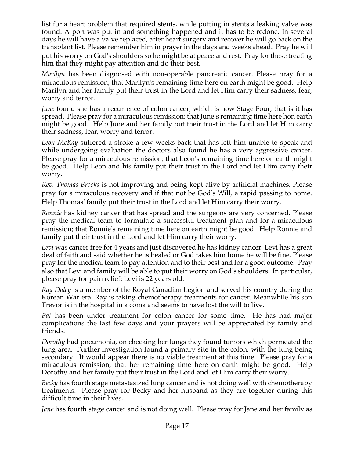list for a heart problem that required stents, while putting in stents a leaking valve was found. A port was put in and something happened and it has to be redone. In several days he will have a valve replaced, after heart surgery and recover he will go back on the transplant list. Please remember him in prayer in the days and weeks ahead. Pray he will put his worry on God's shoulders so he might be at peace and rest. Pray for those treating him that they might pay attention and do their best.

*Marilyn* has been diagnosed with non-operable pancreatic cancer. Please pray for a miraculous remission; that Marilyn's remaining time here on earth might be good. Help Marilyn and her family put their trust in the Lord and let Him carry their sadness, fear, worry and terror.

*June* found she has a recurrence of colon cancer, which is now Stage Four, that is it has spread. Please pray for a miraculous remission; that June's remaining time here hon earth might be good. Help June and her family put their trust in the Lord and let Him carry their sadness, fear, worry and terror.

*Leon McKay* suffered a stroke a few weeks back that has left him unable to speak and while undergoing evaluation the doctors also found he has a very aggressive cancer. Please pray for a miraculous remission; that Leon's remaining time here on earth might be good. Help Leon and his family put their trust in the Lord and let Him carry their worry.

*Rev. Thomas Brooks* is not improving and being kept alive by artificial machines. Please pray for a miraculous recovery and if that not be God's Will, a rapid passing to home. Help Thomas' family put their trust in the Lord and let Him carry their worry.

*Ronnie* has kidney cancer that has spread and the surgeons are very concerned. Please pray the medical team to formulate a successful treatment plan and for a miraculous remission; that Ronnie's remaining time here on earth might be good. Help Ronnie and family put their trust in the Lord and let Him carry their worry.

Levi was cancer free for 4 years and just discovered he has kidney cancer. Levi has a great deal of faith and said whether he is healed or God takes him home he will be fine. Please pray for the medical team to pay attention and to their best and for a good outcome. Pray also that Levi and family will be able to put their worry on God's shoulders. In particular, please pray for pain relief; Levi is 22 years old.

*Ray Daley* is a member of the Royal Canadian Legion and served his country during the Korean War era. Ray is taking chemotherapy treatments for cancer. Meanwhile his son Trevor is in the hospital in a coma and seems to have lost the will to live.

*Pat* has been under treatment for colon cancer for some time. He has had major complications the last few days and your prayers will be appreciated by family and friends.

*Dorothy* had pneumonia, on checking her lungs they found tumors which permeated the lung area. Further investigation found a primary site in the colon, with the lung being secondary. It would appear there is no viable treatment at this time. Please pray for a miraculous remission; that her remaining time here on earth might be good. Help Dorothy and her family put their trust in the Lord and let Him carry their worry.

*Becky* has fourth stage metastasized lung cancer and is not doing well with chemotherapy treatments. Please pray for Becky and her husband as they are together during this difficult time in their lives.

*Jane* has fourth stage cancer and is not doing well. Please pray for Jane and her family as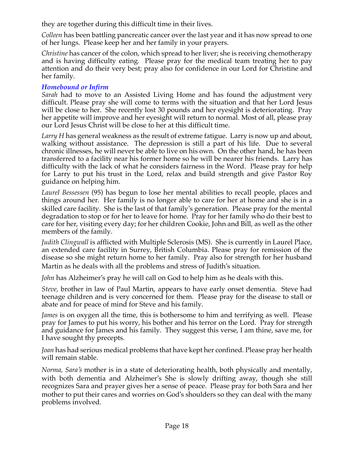they are together during this difficult time in their lives.

*Colleen* has been battling pancreatic cancer over the last year and it has now spread to one of her lungs. Please keep her and her family in your prayers.

*Christine* has cancer of the colon, which spread to her liver; she is receiving chemotherapy and is having difficulty eating. Please pray for the medical team treating her to pay attention and do their very best; pray also for confidence in our Lord for Christine and her family.

# *Homebound or Infirm*

*Sarah* had to move to an Assisted Living Home and has found the adjustment very difficult. Please pray she will come to terms with the situation and that her Lord Jesus will be close to her. She recently lost 30 pounds and her eyesight is deteriorating. Pray her appetite will improve and her eyesight will return to normal. Most of all, please pray our Lord Jesus Christ will be close to her at this difficult time.

*Larry H* has general weakness as the result of extreme fatigue. Larry is now up and about, walking without assistance. The depression is still a part of his life. Due to several chronic illnesses, he will never be able to live on his own. On the other hand, he has been transferred to a facility near his former home so he will be nearer his friends. Larry has difficulty with the lack of what he considers fairness in the Word. Please pray for help for Larry to put his trust in the Lord, relax and build strength and give Pastor Roy guidance on helping him.

*Laurel Bessessen* (95) has begun to lose her mental abilities to recall people, places and things around her. Her family is no longer able to care for her at home and she is in a skilled care facility. She is the last of that family's generation. Please pray for the mental degradation to stop or for her to leave for home. Pray for her family who do their best to care for her, visiting every day; for her children Cookie, John and Bill, as well as the other members of the family.

*Judith Clingwall* is afflicted with Multiple Sclerosis (MS). She is currently in Laurel Place, an extended care facility in Surrey, British Columbia. Please pray for remission of the disease so she might return home to her family. Pray also for strength for her husband Martin as he deals with all the problems and stress of Judith's situation.

*John* has Alzheimer's pray he will call on God to help him as he deals with this.

*Steve,* brother in law of Paul Martin, appears to have early onset dementia. Steve had teenage children and is very concerned for them. Please pray for the disease to stall or abate and for peace of mind for Steve and his family.

*James* is on oxygen all the time, this is bothersome to him and terrifying as well. Please pray for James to put his worry, his bother and his terror on the Lord. Pray for strength and guidance for James and his family. They suggest this verse, I am thine, save me, for I have sought thy precepts.

*Joan* has had serious medical problems that have kept her confined. Please pray her health will remain stable.

*Norma, Sara's* mother is in a state of deteriorating health, both physically and mentally, with both dementia and Alzheimer's She is slowly drifting away, though she still recognizes Sara and prayer gives her a sense of peace. Please pray for both Sara and her mother to put their cares and worries on God's shoulders so they can deal with the many problems involved.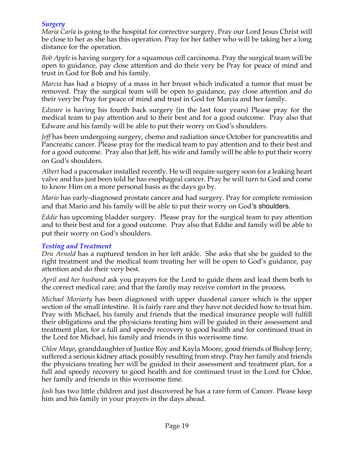### *Surgery*

*Maria Carla* is going to the hospital for corrective surgery. Pray our Lord Jesus Christ will be close to her as she has this operation. Pray for her father who will be taking her a long distance for the operation.

*Bob Apple* is having surgery for a squamous cell carcinoma. Pray the surgical team will be open to guidance, pay close attention and do their very be Pray for peace of mind and trust in God for Bob and his family.

*Marcia* has had a biopsy of a mass in her breast which indicated a tumor that must be removed. Pray the surgical team will be open to guidance, pay close attention and do their very be Pray for peace of mind and trust in God for Marcia and her family.

*Edware* is having his fourth back surgery (in the last four years) Please pray for the medical team to pay attention and to their best and for a good outcome. Pray also that Edware and his family will be able to put their worry on God's shoulders.

*Jeff* has been undergoing surgery, chemo and radiation since October for pancreatitis and Pancreatic cancer. Please pray for the medical team to pay attention and to their best and for a good outcome. Pray also that Jeff, his wife and family will be able to put their worry on God's shoulders.

*Albert* had a pacemaker installed recently. He will require surgery soon for a leaking heart valve and has just been told he has esophageal cancer. Pray he will turn to God and come to know Him on a more personal basis as the days go by.

*Mario* has early-diagnosed prostate cancer and had surgery. Pray for complete remission and that Mario and his family will be able to put their worry on God's shoulders.

*Eddie* has upcoming bladder surgery. Please pray for the surgical team to pay attention and to their best and for a good outcome. Pray also that Eddie and family will be able to put their worry on God's shoulders.

### *Testing and Treatment*

*Dru Arnold* has a ruptured tendon in her left ankle. She asks that she be guided to the right treatment and the medical team treating her will be open to God's guidance, pay attention and do their very best.

*April and her husband* ask you prayers for the Lord to guide them and lead them both to the correct medical care; and that the family may receive comfort in the process.

*Michael Moriarty* has been diagnosed with upper duodenal cancer which is the upper section of the small intestine. It is fairly rare and they have not decided how to treat him. Pray with Michael, his family and friends that the medical insurance people will fulfill their obligations and the physicians treating him will be guided in their assessment and treatment plan, for a full and speedy recovery to good health and for continued trust in the Lord for Michael, his family and friends in this worrisome time.

*Chloe Mayo*, granddaughter of Justice Roy and Kayla Moore, good friends of Bishop Jerry, suffered a serious kidney attack possibly resulting from strep. Pray her family and friends the physicians treating her will be guided in their assessment and treatment plan, for a full and speedy recovery to good health and for continued trust in the Lord for Chloe, her family and friends in this worrisome time.

*Josh* has two little children and just discovered he has a rare form of Cancer. Please keep him and his family in your prayers in the days ahead.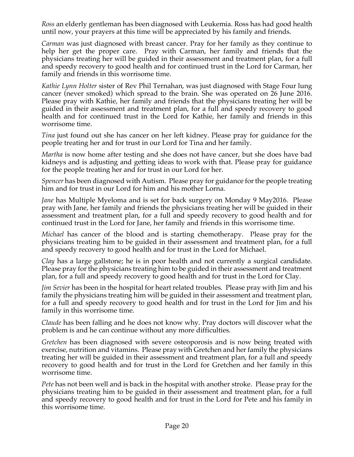*Ross* an elderly gentleman has been diagnosed with Leukemia. Ross has had good health until now, your prayers at this time will be appreciated by his family and friends.

*Carman* was just diagnosed with breast cancer. Pray for her family as they continue to help her get the proper care. Pray with Carman, her family and friends that the physicians treating her will be guided in their assessment and treatment plan, for a full and speedy recovery to good health and for continued trust in the Lord for Carman, her family and friends in this worrisome time.

*Kathie Lynn Holter* sister of Rev Phil Ternahan, was just diagnosed with Stage Four lung cancer (never smoked) which spread to the brain. She was operated on 26 June 2016. Please pray with Kathie, her family and friends that the physicians treating her will be guided in their assessment and treatment plan, for a full and speedy recovery to good health and for continued trust in the Lord for Kathie, her family and friends in this worrisome time.

*Tina* just found out she has cancer on her left kidney. Please pray for guidance for the people treating her and for trust in our Lord for Tina and her family.

*Martha* is now home after testing and she does not have cancer, but she does have bad kidneys and is adjusting and getting ideas to work with that. Please pray for guidance for the people treating her and for trust in our Lord for her.

*Spencer* has been diagnosed with Autism. Please pray for guidance for the people treating him and for trust in our Lord for him and his mother Lorna.

*Jane* has Multiple Myeloma and is set for back surgery on Monday 9 May2016. Please pray with Jane, her family and friends the physicians treating her will be guided in their assessment and treatment plan, for a full and speedy recovery to good health and for continued trust in the Lord for Jane, her family and friends in this worrisome time.

*Michael* has cancer of the blood and is starting chemotherapy. Please pray for the physicians treating him to be guided in their assessment and treatment plan, for a full and speedy recovery to good health and for trust in the Lord for Michael.

*Clay* has a large gallstone; he is in poor health and not currently a surgical candidate. Please pray for the physicians treating him to be guided in their assessment and treatment plan, for a full and speedy recovery to good health and for trust in the Lord for Clay.

*Jim Sevier* has been in the hospital for heart related troubles. Please pray with Jim and his family the physicians treating him will be guided in their assessment and treatment plan, for a full and speedy recovery to good health and for trust in the Lord for Jim and his family in this worrisome time.

*Claude* has been falling and he does not know why. Pray doctors will discover what the problem is and he can continue without any more difficulties.

*Gretchen* has been diagnosed with severe osteoporosis and is now being treated with exercise, nutrition and vitamins. Please pray with Gretchen and her family the physicians treating her will be guided in their assessment and treatment plan, for a full and speedy recovery to good health and for trust in the Lord for Gretchen and her family in this worrisome time.

*Pete* has not been well and is back in the hospital with another stroke. Please pray for the physicians treating him to be guided in their assessment and treatment plan, for a full and speedy recovery to good health and for trust in the Lord for Pete and his family in this worrisome time.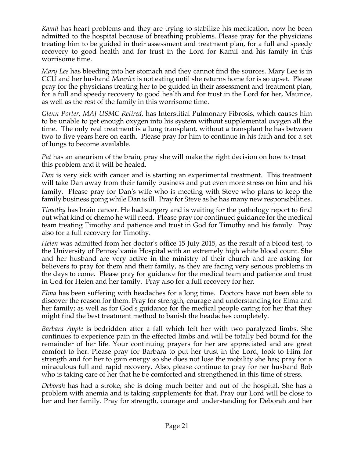*Kamil* has heart problems and they are trying to stabilize his medication, now he been admitted to the hospital because of breathing problems. Please pray for the physicians treating him to be guided in their assessment and treatment plan, for a full and speedy recovery to good health and for trust in the Lord for Kamil and his family in this worrisome time.

*Mary Lee* has bleeding into her stomach and they cannot find the sources. Mary Lee is in CCU and her husband *Maurice* is not eating until she returns home for is so upset. Please pray for the physicians treating her to be guided in their assessment and treatment plan, for a full and speedy recovery to good health and for trust in the Lord for her, Maurice, as well as the rest of the family in this worrisome time.

*Glenn Porter, MAJ USMC Retired,* has Interstitial Pulmonary Fibrosis, which causes him to be unable to get enough oxygen into his system without supplemental oxygen all the time. The only real treatment is a lung transplant, without a transplant he has between two to five years here on earth. Please pray for him to continue in his faith and for a set of lungs to become available.

*Pat* has an aneurism of the brain, pray she will make the right decision on how to treat this problem and it will be healed.

*Dan* is very sick with cancer and is starting an experimental treatment. This treatment will take Dan away from their family business and put even more stress on him and his family. Please pray for Dan's wife who is meeting with Steve who plans to keep the family business going while Dan is ill. Pray for Steve as he has many new responsibilities.

*Timothy* has brain cancer. He had surgery and is waiting for the pathology report to find out what kind of chemo he will need. Please pray for continued guidance for the medical team treating Timothy and patience and trust in God for Timothy and his family. Pray also for a full recovery for Timothy.

*Helen* was admitted from her doctor's office 15 July 2015, as the result of a blood test, to the University of Pennsylvania Hospital with an extremely high white blood count. She and her husband are very active in the ministry of their church and are asking for believers to pray for them and their family, as they are facing very serious problems in the days to come. Please pray for guidance for the medical team and patience and trust in God for Helen and her family. Pray also for a full recovery for her.

*Elma* has been suffering with headaches for a long time. Doctors have not been able to discover the reason for them. Pray for strength, courage and understanding for Elma and her family; as well as for God's guidance for the medical people caring for her that they might find the best treatment method to banish the headaches completely.

*Barbara Apple* is bedridden after a fall which left her with two paralyzed limbs. She continues to experience pain in the effected limbs and will be totally bed bound for the remainder of her life. Your continuing prayers for her are appreciated and are great comfort to her. Please pray for Barbara to put her trust in the Lord, look to Him for strength and for her to gain energy so she does not lose the mobility she has; pray for a miraculous full and rapid recovery. Also, please continue to pray for her husband Bob who is taking care of her that he be comforted and strengthened in this time of stress.

*Deborah* has had a stroke, she is doing much better and out of the hospital. She has a problem with anemia and is taking supplements for that. Pray our Lord will be close to her and her family. Pray for strength, courage and understanding for Deborah and her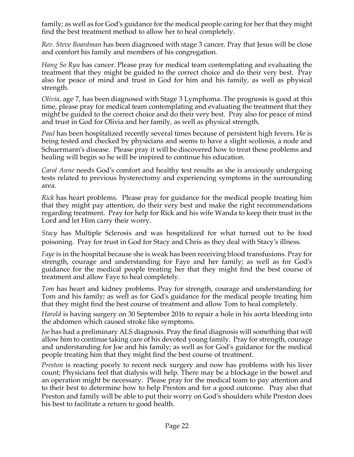family; as well as for God's guidance for the medical people caring for her that they might find the best treatment method to allow her to heal completely.

*Rev. Steve Boardman* has been diagnosed with stage 3 cancer. Pray that Jesus will be close and comfort his family and members of his congregation*.*

*Hang So Ryu* has cancer. Please pray for medical team contemplating and evaluating the treatment that they might be guided to the correct choice and do their very best. Pray also for peace of mind and trust in God for him and his family, as well as physical strength.

*Olivia,* age 7, has been diagnosed with Stage 3 Lymphoma. The prognosis is good at this time, please pray for medical team contemplating and evaluating the treatment that they might be guided to the correct choice and do their very best. Pray also for peace of mind and trust in God for Olivia and her family, as well as physical strength.

*Paul* has been hospitalized recently several times because of persistent high fevers. He is being tested and checked by physicians and seems to have a slight scoliosis, a node and Schuermann's disease. Please pray it will be discovered how to treat these problems and healing will begin so he will be inspired to continue his education.

*Carol Anne* needs God's comfort and healthy test results as she is anxiously undergoing tests related to previous hysterectomy and experiencing symptoms in the surrounding area.

*Rick* has heart problems. Please pray for guidance for the medical people treating him that they might pay attention, do their very best and make the right recommendations regarding treatment. Pray for help for Rick and his wife Wanda to keep their trust in the Lord and let Him carry their worry.

*Stacy* has Multiple Sclerosis and was hospitalized for what turned out to be food poisoning. Pray for trust in God for Stacy and Chris as they deal with Stacy's illness.

*Faye* is in the hospital because she is weak has been receiving blood transfusions. Pray for strength, courage and understanding for Faye and her family; as well as for God's guidance for the medical people treating her that they might find the best course of treatment and allow Faye to heal completely.

*Tom* has heart and kidney problems. Pray for strength, courage and understanding for Tom and his family; as well as for God's guidance for the medical people treating him that they might find the best course of treatment and allow Tom to heal completely.

*Harold* is having surgery on 30 September 2016 to repair a hole in his aorta bleeding into the abdomen which caused stroke like symptoms.

*Joe* has had a preliminary ALS diagnosis. Pray the final diagnosis will something that will allow him to continue taking care of his devoted young family. Pray for strength, courage and understanding for Joe and his family; as well as for God's guidance for the medical people treating him that they might find the best course of treatment.

*Preston* is reacting poorly to recent neck surgery and now has problems with his liver count; Physicians feel that dialysis will help. There may be a blockage in the bowel and an operation might be necessary. Please pray for the medical team to pay attention and to their best to determine how to help Preston and for a good outcome. Pray also that Preston and family will be able to put their worry on God's shoulders while Preston does his best to facilitate a return to good health.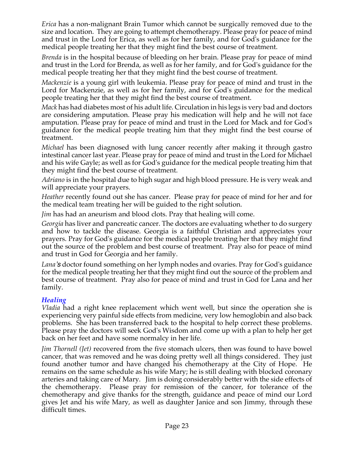*Erica* has a non-malignant Brain Tumor which cannot be surgically removed due to the size and location. They are going to attempt chemotherapy. Please pray for peace of mind and trust in the Lord for Erica, as well as for her family, and for God's guidance for the medical people treating her that they might find the best course of treatment.

*Brenda* is in the hospital because of bleeding on her brain. Please pray for peace of mind and trust in the Lord for Brenda, as well as for her family, and for God's guidance for the medical people treating her that they might find the best course of treatment.

*Mackenzie* is a young girl with leukemia. Please pray for peace of mind and trust in the Lord for Mackenzie, as well as for her family, and for God's guidance for the medical people treating her that they might find the best course of treatment.

*Mack* has had diabetes most of his adult life. Circulation in his legs is very bad and doctors are considering amputation. Please pray his medication will help and he will not face amputation. Please pray for peace of mind and trust in the Lord for Mack and for God's guidance for the medical people treating him that they might find the best course of treatment.

*Michael* has been diagnosed with lung cancer recently after making it through gastro intestinal cancer last year. Please pray for peace of mind and trust in the Lord for Michael and his wife Gayle; as well as for God's guidance for the medical people treating him that they might find the best course of treatment.

*Adriano* is in the hospital due to high sugar and high blood pressure. He is very weak and will appreciate your prayers.

*Heather* recently found out she has cancer. Please pray for peace of mind for her and for the medical team treating her will be guided to the right solution.

*Jim* has had an aneurism and blood clots. Pray that healing will come.

*Georgia* has liver and pancreatic cancer. The doctors are evaluating whether to do surgery and how to tackle the disease. Georgia is a faithful Christian and appreciates your prayers. Pray for God's guidance for the medical people treating her that they might find out the source of the problem and best course of treatment. Pray also for peace of mind and trust in God for Georgia and her family.

*Lana's* doctor found something on her lymph nodes and ovaries. Pray for God's guidance for the medical people treating her that they might find out the source of the problem and best course of treatment. Pray also for peace of mind and trust in God for Lana and her family.

# *Healing*

*Vladia* had a right knee replacement which went well, but since the operation she is experiencing very painful side effects from medicine, very low hemoglobin and also back problems. She has been transferred back to the hospital to help correct these problems. Please pray the doctors will seek God's Wisdom and come up with a plan to help her get back on her feet and have some normalcy in her life.

*Jim Thornell (Jet)* recovered from the five stomach ulcers, then was found to have bowel cancer, that was removed and he was doing pretty well all things considered. They just found another tumor and have changed his chemotherapy at the City of Hope. He remains on the same schedule as his wife Mary; he is still dealing with blocked coronary arteries and taking care of Mary. Jim is doing considerably better with the side effects of the chemotherapy. Please pray for remission of the cancer, for tolerance of the chemotherapy and give thanks for the strength, guidance and peace of mind our Lord gives Jet and his wife Mary, as well as daughter Janice and son Jimmy, through these difficult times.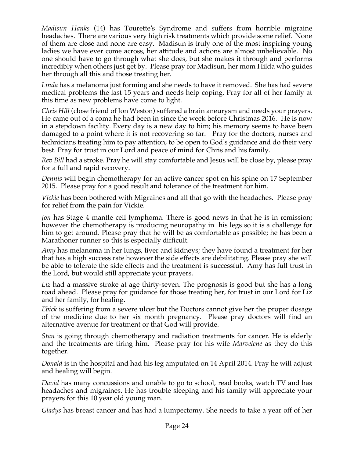*Madisun Hanks* (14) has Tourette's Syndrome and suffers from horrible migraine headaches. There are various very high risk treatments which provide some relief. None of them are close and none are easy. Madisun is truly one of the most inspiring young ladies we have ever come across, her attitude and actions are almost unbelievable. No one should have to go through what she does, but she makes it through and performs incredibly when others just get by. Please pray for Madisun, her mom Hilda who guides her through all this and those treating her.

*Linda* has a melanoma just forming and she needs to have it removed. She has had severe medical problems the last 15 years and needs help coping. Pray for all of her family at this time as new problems have come to light.

*Chris Hill* (close friend of Jon Weston) suffered a brain aneurysm and needs your prayers. He came out of a coma he had been in since the week before Christmas 2016. He is now in a stepdown facility. Every day is a new day to him; his memory seems to have been damaged to a point where it is not recovering so far. Pray for the doctors, nurses and technicians treating him to pay attention, to be open to God's guidance and do their very best. Pray for trust in our Lord and peace of mind for Chris and his family.

*Rev Bill* had a stroke. Pray he will stay comfortable and Jesus will be close by, please pray for a full and rapid recovery.

*Dennis* will begin chemotherapy for an active cancer spot on his spine on 17 September 2015. Please pray for a good result and tolerance of the treatment for him.

*Vickie* has been bothered with Migraines and all that go with the headaches. Please pray for relief from the pain for Vickie.

*Jon* has Stage 4 mantle cell lymphoma. There is good news in that he is in remission; however the chemotherapy is producing neuropathy in his legs so it is a challenge for him to get around. Please pray that he will be as comfortable as possible; he has been a Marathoner runner so this is especially difficult.

*Amy* has melanoma in her lungs, liver and kidneys; they have found a treatment for her that has a high success rate however the side effects are debilitating. Please pray she will be able to tolerate the side effects and the treatment is successful. Amy has full trust in the Lord, but would still appreciate your prayers.

*Liz* had a massive stroke at age thirty-seven. The prognosis is good but she has a long road ahead. Please pray for guidance for those treating her, for trust in our Lord for Liz and her family, for healing.

*Ebick* is suffering from a severe ulcer but the Doctors cannot give her the proper dosage of the medicine due to her six month pregnancy. Please pray doctors will find an alternative avenue for treatment or that God will provide.

*Stan* is going through chemotherapy and radiation treatments for cancer. He is elderly and the treatments are tiring him. Please pray for his wife *Marvelene* as they do this together.

*Donald* is in the hospital and had his leg amputated on 14 April 2014. Pray he will adjust and healing will begin.

*David* has many concussions and unable to go to school, read books, watch TV and has headaches and migraines. He has trouble sleeping and his family will appreciate your prayers for this 10 year old young man.

*Gladys* has breast cancer and has had a lumpectomy. She needs to take a year off of her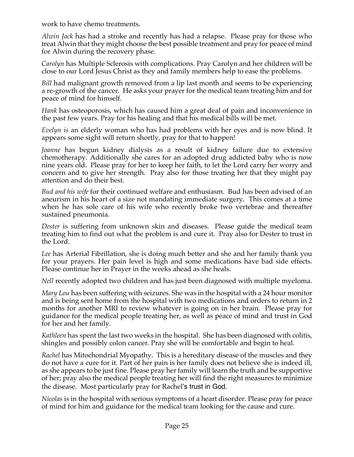work to have chemo treatments.

*Alwin Jack* has had a stroke and recently has had a relapse. Please pray for those who treat Alwin that they might choose the best possible treatment and pray for peace of mind for Alwin during the recovery phase.

*Carolyn* has Multiple Sclerosis with complications. Pray Carolyn and her children will be close to our Lord Jesus Christ as they and family members help to ease the problems.

*Bill* had malignant growth removed from a lip last month and seems to be experiencing a re-growth of the cancer. He asks your prayer for the medical team treating him and for peace of mind for himself.

*Hank* has osteoporosis, which has caused him a great deal of pain and inconvenience in the past few years. Pray for his healing and that his medical bills will be met.

*Evelyn is* an elderly woman who has had problems with her eyes and is now blind. It appears some sight will return shortly, pray for that to happen!

*Joanne* has begun kidney dialysis as a result of kidney failure due to extensive chemotherapy. Additionally she cares for an adopted drug addicted baby who is now nine years old. Please pray for her to keep her faith, to let the Lord carry her worry and concern and to give her strength. Pray also for those treating her that they might pay attention and do their best.

*Bud and his wife* for their continued welfare and enthusiasm. Bud has been advised of an aneurism in his heart of a size not mandating immediate surgery. This comes at a time when he has sole care of his wife who recently broke two vertebrae and thereafter sustained pneumonia.

*Dester* is suffering from unknown skin and diseases. Please guide the medical team treating him to find out what the problem is and cure it. Pray also for Dester to trust in the Lord.

*Lee* has Arterial Fibrillation, she is doing much better and she and her family thank you for your prayers. Her pain level is high and some medications have bad side effects. Please continue her in Prayer in the weeks ahead as she heals.

*Nell* recently adopted two children and has just been diagnosed with multiple myeloma.

*Mary Lou* has been suffering with seizures. She was in the hospital with a 24 hour monitor and is being sent home from the hospital with two medications and orders to return in 2 months for another MRI to review whatever is going on in her brain. Please pray for guidance for the medical people treating her, as well as peace of mind and trust in God for her and her family.

*Kathleen* has spent the last two weeks in the hospital. She has been diagnosed with colitis, shingles and possibly colon cancer. Pray she will be comfortable and begin to heal.

*Rachel* has Mitochondrial Myopathy. This is a hereditary disease of the muscles and they do not have a cure for it. Part of her pain is her family does not believe she is indeed ill, as she appears to be just fine. Please pray her family will learn the truth and be supportive of her; pray also the medical people treating her will find the right measures to minimize the disease. Most particularly pray for Rachel's trust in God.

*Nicolas* is in the hospital with serious symptoms of a heart disorder. Please pray for peace of mind for him and guidance for the medical team looking for the cause and cure.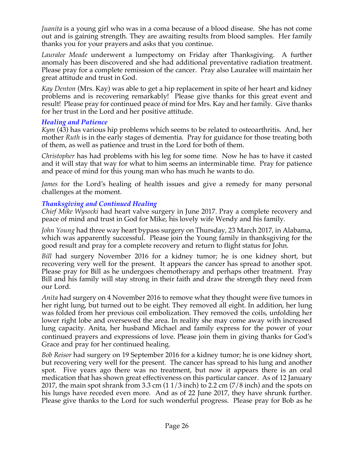*Juanita* is a young girl who was in a coma because of a blood disease. She has not come out and is gaining strength. They are awaiting results from blood samples. Her family thanks you for your prayers and asks that you continue.

*Lauralee Meade* underwent a lumpectomy on Friday after Thanksgiving. A further anomaly has been discovered and she had additional preventative radiation treatment. Please pray for a complete remission of the cancer. Pray also Lauralee will maintain her great attitude and trust in God.

*Kay Denton* (Mrs. Kay) was able to get a hip replacement in spite of her heart and kidney problems and is recovering remarkably! Please give thanks for this great event and result! Please pray for continued peace of mind for Mrs. Kay and her family. Give thanks for her trust in the Lord and her positive attitude.

### *Healing and Patience*

*Kym* (43) has various hip problems which seems to be related to osteoarthritis. And, her mother *Ruth* is in the early stages of dementia. Pray for guidance for those treating both of them, as well as patience and trust in the Lord for both of them.

*Christopher* has had problems with his leg for some time. Now he has to have it casted and it will stay that way for what to him seems an interminable time. Pray for patience and peace of mind for this young man who has much he wants to do.

*James* for the Lord's healing of health issues and give a remedy for many personal challenges at the moment.

### *Thanksgiving and Continued Healing*

*Chief Mike Wysocki* had heart valve surgery in June 2017. Pray a complete recovery and peace of mind and trust in God for Mike, his lovely wife Wendy and his family.

*John Young* had three way heart bypass surgery on Thursday, 23 March 2017, in Alabama, which was apparently successful. Please join the Young family in thanksgiving for the good result and pray for a complete recovery and return to flight status for John.

*Bill* had surgery November 2016 for a kidney tumor; he is one kidney short, but recovering very well for the present. It appears the cancer has spread to another spot. Please pray for Bill as he undergoes chemotherapy and perhaps other treatment. Pray Bill and his family will stay strong in their faith and draw the strength they need from our Lord.

*Anita* had surgery on 4 November 2016 to remove what they thought were five tumors in her right lung, but turned out to be eight. They removed all eight. In addition, her lung was folded from her previous coil embolization. They removed the coils, unfolding her lower right lobe and oversewed the area. In reality she may come away with increased lung capacity. Anita, her husband Michael and family express for the power of your continued prayers and expressions of love. Please join them in giving thanks for God's Grace and pray for her continued healing.

*Bob Reisor* had surgery on 19 September 2016 for a kidney tumor; he is one kidney short, but recovering very well for the present. The cancer has spread to his lung and another spot. Five years ago there was no treatment, but now it appears there is an oral medication that has shown great effectiveness on this particular cancer. As of 12 January 2017, the main spot shrank from 3.3 cm  $(11/3 \text{ inch})$  to 2.2 cm  $(7/8 \text{ inch})$  and the spots on his lungs have receded even more. And as of 22 June 2017, they have shrunk further. Please give thanks to the Lord for such wonderful progress. Please pray for Bob as he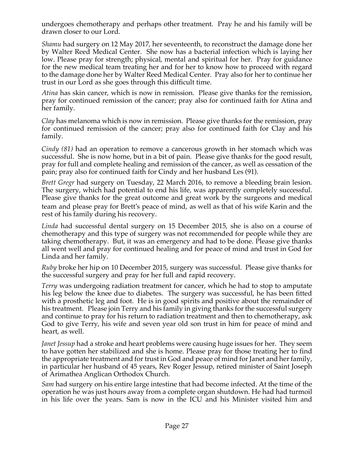undergoes chemotherapy and perhaps other treatment. Pray he and his family will be drawn closer to our Lord.

*Shamu* had surgery on 12 May 2017, her seventeenth, to reconstruct the damage done her by Walter Reed Medical Center. She now has a bacterial infection which is laying her low. Please pray for strength; physical, mental and spiritual for her. Pray for guidance for the new medical team treating her and for her to know how to proceed with regard to the damage done her by Walter Reed Medical Center. Pray also for her to continue her trust in our Lord as she goes through this difficult time.

*Atina* has skin cancer, which is now in remission. Please give thanks for the remission, pray for continued remission of the cancer; pray also for continued faith for Atina and her family.

*Clay* has melanoma which is now in remission. Please give thanks for the remission, pray for continued remission of the cancer; pray also for continued faith for Clay and his family.

*Cindy (81)* had an operation to remove a cancerous growth in her stomach which was successful. She is now home, but in a bit of pain. Please give thanks for the good result, pray for full and complete healing and remission of the cancer, as well as cessation of the pain; pray also for continued faith for Cindy and her husband Les (91).

*Brett Gregr* had surgery on Tuesday, 22 March 2016, to remove a bleeding brain lesion. The surgery, which had potential to end his life, was apparently completely successful. Please give thanks for the great outcome and great work by the surgeons and medical team and please pray for Brett's peace of mind, as well as that of his wife Karin and the rest of his family during his recovery.

*Linda* had successful dental surgery on 15 December 2015, she is also on a course of chemotherapy and this type of surgery was not recommended for people while they are taking chemotherapy. But, it was an emergency and had to be done. Please give thanks all went well and pray for continued healing and for peace of mind and trust in God for Linda and her family.

*Ruby* broke her hip on 10 December 2015, surgery was successful. Please give thanks for the successful surgery and pray for her full and rapid recovery.

*Terry* was undergoing radiation treatment for cancer, which he had to stop to amputate his leg below the knee due to diabetes. The surgery was successful, he has been fitted with a prosthetic leg and foot. He is in good spirits and positive about the remainder of his treatment. Please join Terry and his family in giving thanks for the successful surgery and continue to pray for his return to radiation treatment and then to chemotherapy, ask God to give Terry, his wife and seven year old son trust in him for peace of mind and heart, as well.

*Janet Jessup* had a stroke and heart problems were causing huge issues for her. They seem to have gotten her stabilized and she is home. Please pray for those treating her to find the appropriate treatment and for trust in God and peace of mind for Janet and her family, in particular her husband of 45 years, Rev Roger Jessup, retired minister of Saint Joseph of Arimathea Anglican Orthodox Church.

*Sam* had surgery on his entire large intestine that had become infected. At the time of the operation he was just hours away from a complete organ shutdown. He had had turmoil in his life over the years. Sam is now in the ICU and his Minister visited him and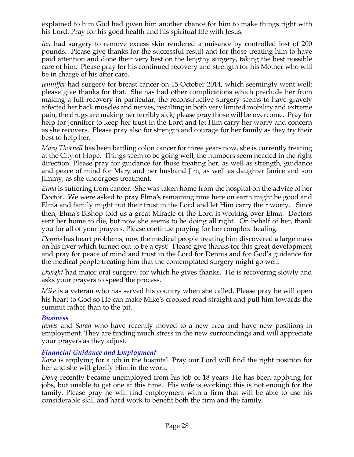explained to him God had given him another chance for him to make things right with his Lord. Pray for his good health and his spiritual life with Jesus.

*Ian* had surgery to remove excess skin rendered a nuisance by controlled lost of 200 pounds. Please give thanks for the successful result and for those treating him to have paid attention and done their very best on the lengthy surgery, taking the best possible care of him. Please pray for his continued recovery and strength for his Mother who will be in charge of his after care.

*Jenniffer* had surgery for breast cancer on 15 October 2014, which seemingly went well; please give thanks for that. She has had other complications which preclude her from making a full recovery in particular, the reconstructive surgery seems to have gravely affected her back muscles and nerves, resulting in both very limited mobility and extreme pain, the drugs are making her terribly sick; please pray those will be overcome. Pray for help for Jenniffer to keep her trust in the Lord and let Him carry her worry and concern as she recovers. Please pray also for strength and courage for her family as they try their best to help her.

*Mary Thornell* has been battling colon cancer for three years now, she is currently treating at the City of Hope. Things seem to be going well, the numbers seem headed in the right direction. Please pray for guidance for those treating her, as well as strength, guidance and peace of mind for Mary and her husband Jim, as well as daughter Janice and son Jimmy, as she undergoes treatment.

*Elma* is suffering from cancer. She was taken home from the hospital on the advice of her Doctor. We were asked to pray Elma's remaining time here on earth might be good and Elma and family might put their trust in the Lord and let Him carry their worry. Since then, Elma's Bishop told us a great Miracle of the Lord is working over Elma. Doctors sent her home to die, but now she seems to be doing all right. On behalf of her, thank you for all of your prayers. Please continue praying for her complete healing.

*Dennis* has heart problems; now the medical people treating him discovered a large mass on his liver which turned out to be a cyst! Please give thanks for this great development and pray for peace of mind and trust in the Lord for Dennis and for God's guidance for the medical people treating him that the contemplated surgery might go well.

*Dwight* had major oral surgery, for which he gives thanks. He is recovering slowly and asks your prayers to speed the process.

*Mike* is a veteran who has served his country when she called. Please pray he will open his heart to God so He can make Mike's crooked road straight and pull him towards the summit rather than to the pit.

#### *Business*

*James* and *Sarah* who have recently moved to a new area and have new positions in employment. They are finding much stress in the new surroundings and will appreciate your prayers as they adjust.

#### *Financial Guidance and Employment*

*Kona* is applying for a job in the hospital. Pray our Lord will find the right position for her and she will glorify Him in the work.

*Doug* recently became unemployed from his job of 18 years. He has been applying for jobs, but unable to get one at this time. His wife is working; this is not enough for the family. Please pray he will find employment with a firm that will be able to use his considerable skill and hard work to benefit both the firm and the family.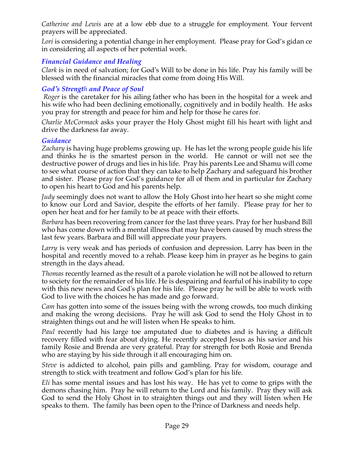*Catherine and Lewis* are at a low ebb due to a struggle for employment. Your fervent prayers will be appreciated.

Lori is considering a potential change in her employment. Please pray for God's gidan ce in considering all aspects of her potential work.

# *Financial Guidance and Healing*

*Clark* is in need of salvation; for God's Will to be done in his life. Pray his family will be blessed with the financial miracles that come from doing His Will.

### *God's Strength and Peace of Soul*

*Roger* is the caretaker for his ailing father who has been in the hospital for a week and his wife who had been declining emotionally, cognitively and in bodily health. He asks you pray for strength and peace for him and help for those he cares for.

*Charlie McCormack* asks your prayer the Holy Ghost might fill his heart with light and drive the darkness far away.

### *Guidance*

*Zachary* is having huge problems growing up. He has let the wrong people guide his life and thinks he is the smartest person in the world. He cannot or will not see the destructive power of drugs and lies in his life. Pray his parents Lee and Shamu will come to see what course of action that they can take to help Zachary and safeguard his brother and sister. Please pray for God's guidance for all of them and in particular for Zachary to open his heart to God and his parents help.

*Judy* seemingly does not want to allow the Holy Ghost into her heart so she might come to know our Lord and Savior, despite the efforts of her family. Please pray for her to open her heat and for her family to be at peace with their efforts.

*Barbara* has been recovering from cancer for the last three years. Pray for her husband Bill who has come down with a mental illness that may have been caused by much stress the last few years. Barbara and Bill will appreciate your prayers.

*Larry* is very weak and has periods of confusion and depression. Larry has been in the hospital and recently moved to a rehab. Please keep him in prayer as he begins to gain strength in the days ahead.

*Thomas* recently learned as the result of a parole violation he will not be allowed to return to society for the remainder of his life. He is despairing and fearful of his inability to cope with this new news and God's plan for his life. Please pray he will be able to work with God to live with the choices he has made and go forward.

*Cam* has gotten into some of the issues being with the wrong crowds, too much dinking and making the wrong decisions. Pray he will ask God to send the Holy Ghost in to straighten things out and he will listen when He speaks to him.

*Paul* recently had his large toe amputated due to diabetes and is having a difficult recovery filled with fear about dying. He recently accepted Jesus as his savior and his family Rosie and Brenda are very grateful. Pray for strength for both Rosie and Brenda who are staying by his side through it all encouraging him on.

*Steve* is addicted to alcohol, pain pills and gambling. Pray for wisdom, courage and strength to stick with treatment and follow God's plan for his life.

*Eli* has some mental issues and has lost his way. He has yet to come to grips with the demons chasing him. Pray he will return to the Lord and his family. Pray they will ask God to send the Holy Ghost in to straighten things out and they will listen when He speaks to them. The family has been open to the Prince of Darkness and needs help.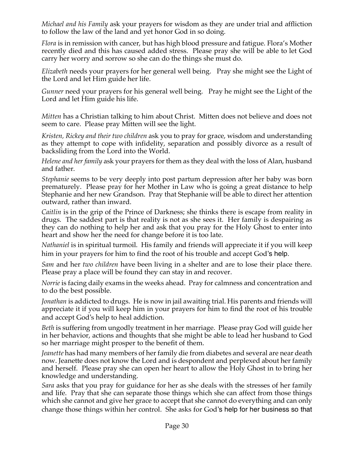*Michael and his Family* ask your prayers for wisdom as they are under trial and affliction to follow the law of the land and yet honor God in so doing.

*Flora* is in remission with cancer, but has high blood pressure and fatigue. Flora's Mother recently died and this has caused added stress. Please pray she will be able to let God carry her worry and sorrow so she can do the things she must do.

*Elizabeth* needs your prayers for her general well being. Pray she might see the Light of the Lord and let Him guide her life.

*Gunner* need your prayers for his general well being. Pray he might see the Light of the Lord and let Him guide his life.

*Mitten* has a Christian talking to him about Christ. Mitten does not believe and does not seem to care. Please pray Mitten will see the light.

*Kristen, Rickey and their two children* ask you to pray for grace, wisdom and understanding as they attempt to cope with infidelity, separation and possibly divorce as a result of backsliding from the Lord into the World.

*Helene and her family* ask your prayers for them as they deal with the loss of Alan, husband and father.

*Stephanie* seems to be very deeply into post partum depression after her baby was born prematurely. Please pray for her Mother in Law who is going a great distance to help Stephanie and her new Grandson. Pray that Stephanie will be able to direct her attention outward, rather than inward.

*Caitlin* is in the grip of the Prince of Darkness; she thinks there is escape from reality in drugs. The saddest part is that reality is not as she sees it. Her family is despairing as they can do nothing to help her and ask that you pray for the Holy Ghost to enter into heart and show her the need for change before it is too late.

*Nathaniel* is in spiritual turmoil. His family and friends will appreciate it if you will keep him in your prayers for him to find the root of his trouble and accept God's help.

*Sam* and her *two children* have been living in a shelter and are to lose their place there. Please pray a place will be found they can stay in and recover.

*Norrie* is facing daily exams in the weeks ahead. Pray for calmness and concentration and to do the best possible.

*Jonathan* is addicted to drugs. He is now in jail awaiting trial. His parents and friends will appreciate it if you will keep him in your prayers for him to find the root of his trouble and accept God's help to heal addiction.

*Beth* is suffering from ungodly treatment in her marriage. Please pray God will guide her in her behavior, actions and thoughts that she might be able to lead her husband to God so her marriage might prosper to the benefit of them.

*Jeanette* has had many members of her family die from diabetes and several are near death now. Jeanette does not know the Lord and is despondent and perplexed about her family and herself. Please pray she can open her heart to allow the Holy Ghost in to bring her knowledge and understanding.

*Sara* asks that you pray for guidance for her as she deals with the stresses of her family and life. Pray that she can separate those things which she can affect from those things which she cannot and give her grace to accept that she cannot do everything and can only change those things within her control. She asks for God's help for her business so that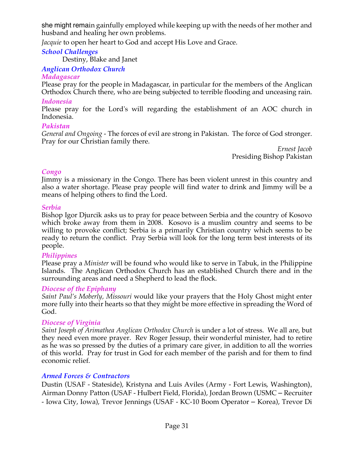she might remain gainfully employed while keeping up with the needs of her mother and husband and healing her own problems.

*Jacquie* to open her heart to God and accept His Love and Grace.

### *School Challenges*

Destiny, Blake and Janet

### *Anglican Orthodox Church*

### *Madagascar*

Please pray for the people in Madagascar, in particular for the members of the Anglican Orthodox Church there, who are being subjected to terrible flooding and unceasing rain.

### *Indonesia*

Please pray for the Lord's will regarding the establishment of an AOC church in Indonesia.

### *Pakistan*

*General and Ongoing -* The forces of evil are strong in Pakistan. The force of God stronger. Pray for our Christian family there.

*Ernest Jacob* Presiding Bishop Pakistan

### *Congo*

Jimmy is a missionary in the Congo. There has been violent unrest in this country and also a water shortage. Please pray people will find water to drink and Jimmy will be a means of helping others to find the Lord.

#### *Serbia*

Bishop Igor Djurcik asks us to pray for peace between Serbia and the country of Kosovo which broke away from them in 2008. Kosovo is a muslim country and seems to be willing to provoke conflict; Serbia is a primarily Christian country which seems to be ready to return the conflict. Pray Serbia will look for the long term best interests of its people.

#### *Philippines*

Please pray a *Minister* will be found who would like to serve in Tabuk, in the Philippine Islands. The Anglican Orthodox Church has an established Church there and in the surrounding areas and need a Shepherd to lead the flock*.*

#### *Diocese of the Epiphany*

*Saint Paul's Moberly, Missouri* would like your prayers that the Holy Ghost might enter more fully into their hearts so that they might be more effective in spreading the Word of God.

#### *Diocese of Virginia*

*Saint Joseph of Arimathea Anglican Orthodox Church* is under a lot of stress. We all are, but they need even more prayer. Rev Roger Jessup, their wonderful minister, had to retire as he was so pressed by the duties of a primary care giver, in addition to all the worries of this world. Pray for trust in God for each member of the parish and for them to find economic relief.

### *Armed Forces & Contractors*

Dustin (USAF - Stateside), Kristyna and Luis Aviles (Army - Fort Lewis, Washington), Airman Donny Patton (USAF - Hulbert Field, Florida), Jordan Brown (USMC – Recruiter - Iowa City, Iowa), Trevor Jennings (USAF - KC-10 Boom Operator – Korea), Trevor Di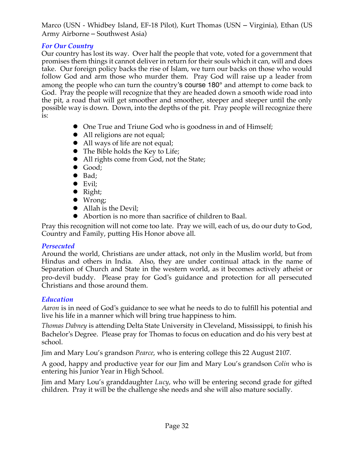Marco (USN - Whidbey Island, EF-18 Pilot), Kurt Thomas (USN – Virginia), Ethan (US Army Airborne – Southwest Asia)

# *For Our Country*

Our country has lost its way. Over half the people that vote, voted for a government that promises them things it cannot deliver in return for their souls which it can, will and does take. Our foreign policy backs the rise of Islam, we turn our backs on those who would follow God and arm those who murder them. Pray God will raise up a leader from among the people who can turn the country's course 180° and attempt to come back to God. Pray the people will recognize that they are headed down a smooth wide road into the pit, a road that will get smoother and smoother, steeper and steeper until the only possible way is down. Down, into the depths of the pit. Pray people will recognize there is:

- One True and Triune God who is goodness in and of Himself;
- All religions are not equal;
- All ways of life are not equal;
- $\bullet$  The Bible holds the Key to Life;
- All rights come from God, not the State;
- $\bullet$  Good;
- $\bullet$  Bad:
- $\bullet$  Evil;
- $\bullet$  Right;
- $\bullet$  Wrong;
- Allah is the Devil;
- l Abortion is no more than sacrifice of children to Baal.

Pray this recognition will not come too late. Pray we will, each of us, do our duty to God, Country and Family, putting His Honor above all.

# *Persecuted*

Around the world, Christians are under attack, not only in the Muslim world, but from Hindus and others in India. Also, they are under continual attack in the name of Separation of Church and State in the western world, as it becomes actively atheist or pro-devil buddy. Please pray for God's guidance and protection for all persecuted Christians and those around them.

# *Education*

*Aaron* is in need of God's guidance to see what he needs to do to fulfill his potential and live his life in a manner which will bring true happiness to him.

*Thomas Dabney* is attending Delta State University in Cleveland, Mississippi, to finish his Bachelor's Degree. Please pray for Thomas to focus on education and do his very best at school.

Jim and Mary Lou's grandson *Pearce*, who is entering college this 22 August 2107.

A good, happy and productive year for our Jim and Mary Lou's grandson *Colin* who is entering his Junior Year in High School.

Jim and Mary Lou's granddaughter *Lucy*, who will be entering second grade for gifted children. Pray it will be the challenge she needs and she will also mature socially.